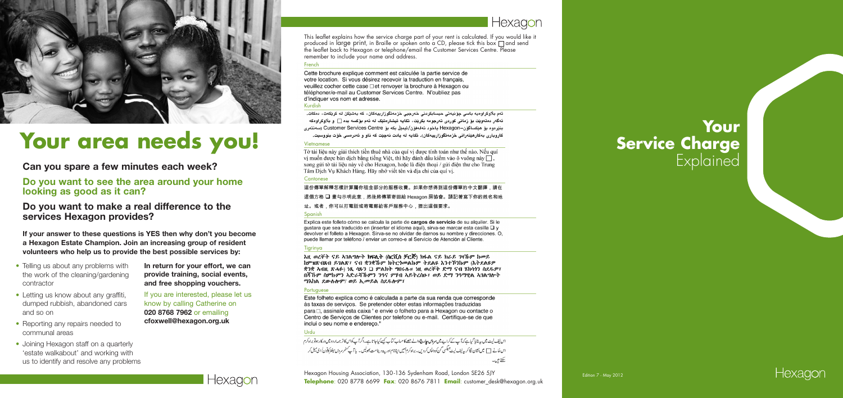Hexagon Housing Association, 130 -136 Sydenham Road, London SE26 5JY **Telephone**: 020 8778 6699 **Fax**: 020 8676 7811 **Email**: customer\_desk@hexagon.org.uk



Hexagon



- Telling us about any problems with the work of the cleaning/gardening contractor
- Letting us know about any graffiti, dumped rubbish, abandoned cars and so on
- Reporting any repairs needed to communal areas
- Joining Hexagon staff on a quarterly 'estate walkabout' and working with us to identify and resolve any problems

#### French

Cette brochure explique comment est calculée la partie service de votre location. Si vous désirez recevoir la traduction en francais. veuillez cocher cette case □ et renvover la brochure à Hexagon ou téléphoner/e-mail au Customer Services Centre. N'oubliez pas d'indiquer vos nom et adresse.

### Kurdish

ئەم بلاوكراوەيە باسى چۆنيەتى حيسابكردنى خەرجيى خزمەتگوزارييەكان، كە بەشپكن لە كريكەت، دەكات. ئەگەر دەتەويّت بۆ زمانى كوردى تەرجومە بكريّت، تكايە ئيشارەتيّك لە ئەم بۆكسە بدە ∏ و بلاوكراوەكە بنٽرموم بۆ ھێكساگۆن–Hexagon ياخود تەلەفۆن/ئيمێڵ بكە بۆ Customer Services Centre (سەنتەرى کاروباري بهکارهێنەرانی خزمەتگوزارييەکان). تکايه له يادت نەچێت که ناو و ئەدرەسى خۆت بنووسيت.

### Vietnamese

Tờ tài liêu này giải thích tiền thuê nhà của quí vị được tính toán như thế nào. Nếu quí vị muốn được bản dịch bằng tiếng Việt, thì hãy đánh dấu kiểm vào ô vuông này  $\Box$ , xong gửi tờ tài liệu này về cho Hexagon, hoặc là điện thoại / gửi điện thư cho Trung Tâm Dich Vu Khách Hàng. Hãy nhớ viết tên và địa chỉ của quí vị.

### Cantonese

這份傳單解釋怎樣計算屬你租金部分的服務收費。如果你想得到這份傳單的中文翻譯,請在 斥明此意,然後將傳單寄回給 Hexagon 房協會。請記著寫下你的姓名和地 址。或者,你可以打電話或寄電郵給客戶服務中心,提出這個要求。

### **Spanish**

Explica este folleto cómo se calcula la parte de cargos de servicio de su alquiler. Si le gustara que sea traducido en (insertar el idioma aquí), sirva-se marcar esta casilla  $\Box$  y devolver el folleto a Hexagon. Sirva-se no olvidar de darnos su nombre y direcciones. O, puede llamar por teléfono / enviar un correo-e al Servicio de Atención al Cliente.

### Tigrinya

እዚ ወረኞት ናይ ኣገልግሎት ክፍሊት (ስርቪስ ቻርጅ) ክፋል ናይ ክራይ ገዛኹም ከመይ ከምዝጽብጸብ ይገልጽ፣ ናብ ቋንቋኹም ክትርንመልኩም ትደልዩ እንተኾንኩም (እትደልዩዎ ቋንቋ ኣብዚ ጽሓፉ) ነጺ ሳጹን □ ምልክት ግበሩሉ። ነዚ ወረቐት ድማ ናብ ሄክሳንን ስደዱዎ፣ በጃኸም ስምኩምን አድራሻኸምን ንዓና ምሃብ አይትረስዑ፣ ወይ ድማ ንዓማዊል አገልግሎት ማእከል ደውሉሎም/ ወይ ኢመይል ስደዱሎም፣

### **Portuguese**

Este folheto explica como é calculada a parte da sua renda que corresponde às taxas de servicos. Se pretender obter estas informações traduzidas para □, assinale esta caixa ' e envie o folheto para a Hexagon ou contacte o Centro de Serviços de Clientes por telefone ou e-mail. Certifique-se de que inclui o seu nome e endereco."

### Urdu

اس لیف لیٹ میں پہ بتایا گیاہے کہ آپ کے کراپے میں **مروس چارج د**الے حصے کا حساب کتاب کیسے کیا جا تا ہے۔اگر آپ کواس کا ترجمہ اردومیں درکارہوتو براہ کرم اس خانے [] میں نشان لگا کر ہے لیف لیٹ بیگسی گن کووا پس کر دیں۔ براہ کرم ہمیں اپنانام اور پید دینامت بھولیں۔ پا آپ سٹمرسر دس سینئر کوفون/ ای میل کر سکتے ہیں۔

### **Your Service Charge Explained**

**In return for your effort, we can provide training, social events, and free shopping vouchers.**

If you are interested, please let us know by calling Catherine on **020 8768 7962** or emailing **cfoxwell@hexagon.org.uk**

**If your answer to these questions is YES then why don't you become a Hexagon Estate Champion. Join an increasing group of resident volunteers who help us to provide the best possible services by:**



### **Can you spare a few minutes each week?**

### **Do you want to see the area around your home looking as good as it can?**

### **Do you want to make a real difference to the services Hexagon provides?**



# **Your area needs you!**